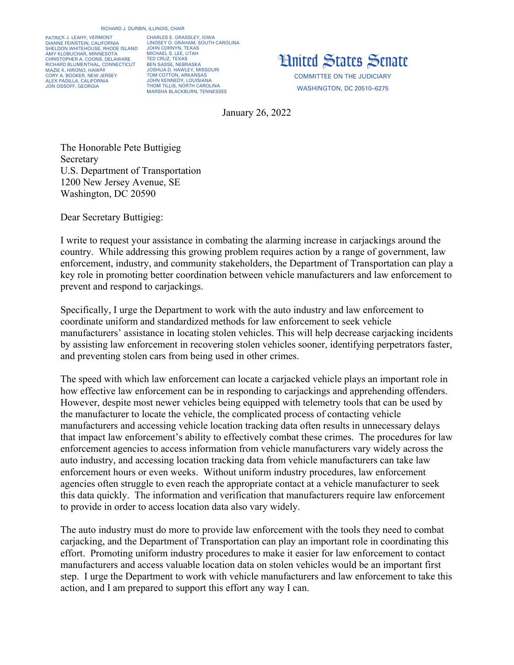## RICHARD J. DURBIN, ILLINOIS, CHAIR

PATRICK J. LEAHY, VERMONT DIANNE FEINSTEIN, CALIFORNIA SHELDON WHITEHOUSE, RHODE ISLAND AMY KLOBUCHAR, MINNESOTA CHRISTOPHER A. COONS, DELAWARE RICHARD BLUMENTHAL, CONNECTICUT MAZIE K. HIRONO, HAWAII CORY A. BOOKER, NEW JERSEY ALEX PADILLA, CALIFORNIA JON OSSOFF, GEORGIA

CHARLES E. GRASSLEY, IOWA LINDSEY O. GRAHAM, SOUTH CAROLINA JOHN CORNYN, TEXAS MICHAEL S. LEE, UTAH TED CRUZ, TEXAS BEN SASSE, NEBRASKA JOSHUA D. HAWLEY, MISSOURI TOM COTTON, ARKANSAS JOHN KENNEDY, LOUISIANA THOM TILLIS, NORTH CAROLINA MARSHA BLACKBURN, TENNESSEE



COMMITTEE ON THE JUDICIARY WASHINGTON, DC 20510–6275

January 26, 2022

The Honorable Pete Buttigieg Secretary U.S. Department of Transportation 1200 New Jersey Avenue, SE Washington, DC 20590

Dear Secretary Buttigieg:

I write to request your assistance in combating the alarming increase in carjackings around the country. While addressing this growing problem requires action by a range of government, law enforcement, industry, and community stakeholders, the Department of Transportation can play a key role in promoting better coordination between vehicle manufacturers and law enforcement to prevent and respond to carjackings.

Specifically, I urge the Department to work with the auto industry and law enforcement to coordinate uniform and standardized methods for law enforcement to seek vehicle manufacturers' assistance in locating stolen vehicles. This will help decrease carjacking incidents by assisting law enforcement in recovering stolen vehicles sooner, identifying perpetrators faster, and preventing stolen cars from being used in other crimes.

The speed with which law enforcement can locate a carjacked vehicle plays an important role in how effective law enforcement can be in responding to carjackings and apprehending offenders. However, despite most newer vehicles being equipped with telemetry tools that can be used by the manufacturer to locate the vehicle, the complicated process of contacting vehicle manufacturers and accessing vehicle location tracking data often results in unnecessary delays that impact law enforcement's ability to effectively combat these crimes. The procedures for law enforcement agencies to access information from vehicle manufacturers vary widely across the auto industry, and accessing location tracking data from vehicle manufacturers can take law enforcement hours or even weeks. Without uniform industry procedures, law enforcement agencies often struggle to even reach the appropriate contact at a vehicle manufacturer to seek this data quickly. The information and verification that manufacturers require law enforcement to provide in order to access location data also vary widely.

The auto industry must do more to provide law enforcement with the tools they need to combat carjacking, and the Department of Transportation can play an important role in coordinating this effort. Promoting uniform industry procedures to make it easier for law enforcement to contact manufacturers and access valuable location data on stolen vehicles would be an important first step. I urge the Department to work with vehicle manufacturers and law enforcement to take this action, and I am prepared to support this effort any way I can.